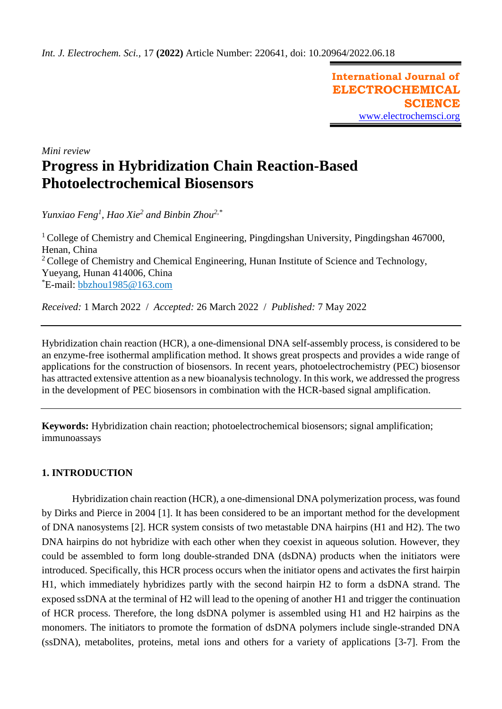**International Journal of ELECTROCHEMICAL SCIENCE** [www.electrochemsci.org](http://www.electrochemsci.org/)

*Mini review*

# **Progress in Hybridization Chain Reaction-Based Photoelectrochemical Biosensors**

*Yunxiao Feng<sup>1</sup> , Hao Xie<sup>2</sup> and Binbin Zhou2,\**

<sup>1</sup> College of Chemistry and Chemical Engineering, Pingdingshan University, Pingdingshan  $467000$ , Henan, China <sup>2</sup> College of Chemistry and Chemical Engineering, Hunan Institute of Science and Technology, Yueyang, Hunan 414006, China \*E-mail: [bbzhou1985@163.com](mailto:bbzhou1985@163.com)

*Received:* 1 March 2022/ *Accepted:* 26 March 2022 / *Published:* 7 May 2022

Hybridization chain reaction (HCR), a one-dimensional DNA self-assembly process, is considered to be an enzyme-free isothermal amplification method. It shows great prospects and provides a wide range of applications for the construction of biosensors. In recent years, photoelectrochemistry (PEC) biosensor has attracted extensive attention as a new bioanalysis technology. In this work, we addressed the progress in the development of PEC biosensors in combination with the HCR-based signal amplification.

**Keywords:** Hybridization chain reaction; photoelectrochemical biosensors; signal amplification; immunoassays

# **1. INTRODUCTION**

Hybridization chain reaction (HCR), a one-dimensional DNA polymerization process, was found by Dirks and Pierce in 2004 [1]. It has been considered to be an important method for the development of DNA nanosystems [2]. HCR system consists of two metastable DNA hairpins (H1 and H2). The two DNA hairpins do not hybridize with each other when they coexist in aqueous solution. However, they could be assembled to form long double-stranded DNA (dsDNA) products when the initiators were introduced. Specifically, this HCR process occurs when the initiator opens and activates the first hairpin H1, which immediately hybridizes partly with the second hairpin H2 to form a dsDNA strand. The exposed ssDNA at the terminal of H2 will lead to the opening of another H1 and trigger the continuation of HCR process. Therefore, the long dsDNA polymer is assembled using H1 and H2 hairpins as the monomers. The initiators to promote the formation of dsDNA polymers include single-stranded DNA (ssDNA), metabolites, proteins, metal ions and others for a variety of applications [3-7]. From the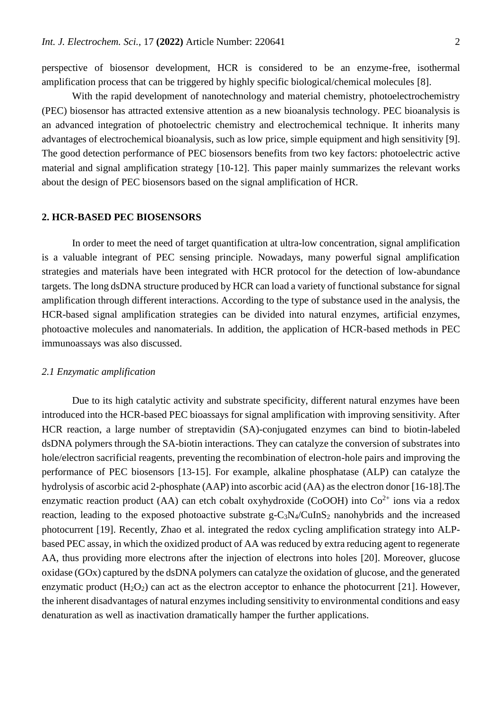perspective of biosensor development, HCR is considered to be an enzyme-free, isothermal amplification process that can be triggered by highly specific biological/chemical molecules [8].

With the rapid development of nanotechnology and material chemistry, photoelectrochemistry (PEC) biosensor has attracted extensive attention as a new bioanalysis technology. PEC bioanalysis is an advanced integration of photoelectric chemistry and electrochemical technique. It inherits many advantages of electrochemical bioanalysis, such as low price, simple equipment and high sensitivity [9]. The good detection performance of PEC biosensors benefits from two key factors: photoelectric active material and signal amplification strategy [10-12]. This paper mainly summarizes the relevant works about the design of PEC biosensors based on the signal amplification of HCR.

#### **2. HCR-BASED PEC BIOSENSORS**

In order to meet the need of target quantification at ultra-low concentration, signal amplification is a valuable integrant of PEC sensing principle. Nowadays, many powerful signal amplification strategies and materials have been integrated with HCR protocol for the detection of low-abundance targets. The long dsDNA structure produced by HCR can load a variety of functional substance for signal amplification through different interactions. According to the type of substance used in the analysis, the HCR-based signal amplification strategies can be divided into natural enzymes, artificial enzymes, photoactive molecules and nanomaterials. In addition, the application of HCR-based methods in PEC immunoassays was also discussed.

#### *2.1 Enzymatic amplification*

Due to its high catalytic activity and substrate specificity, different natural enzymes have been introduced into the HCR-based PEC bioassays for signal amplification with improving sensitivity. After HCR reaction, a large number of streptavidin (SA)-conjugated enzymes can bind to biotin-labeled dsDNA polymers through the SA-biotin interactions. They can catalyze the conversion of substrates into hole/electron sacrificial reagents, preventing the recombination of electron-hole pairs and improving the performance of PEC biosensors [13-15]. For example, alkaline phosphatase (ALP) can catalyze the hydrolysis of ascorbic acid 2-phosphate (AAP) into ascorbic acid (AA) as the electron donor [16-18].The enzymatic reaction product (AA) can etch cobalt oxyhydroxide (CoOOH) into  $Co<sup>2+</sup>$  ions via a redox reaction, leading to the exposed photoactive substrate  $g - C_3N_4/CuInS_2$  nanohybrids and the increased photocurrent [19]. Recently, Zhao et al. integrated the redox cycling amplification strategy into ALPbased PEC assay, in which the oxidized product of AA was reduced by extra reducing agent to regenerate AA, thus providing more electrons after the injection of electrons into holes [20]. Moreover, glucose oxidase (GOx) captured by the dsDNA polymers can catalyze the oxidation of glucose, and the generated enzymatic product  $(H_2O_2)$  can act as the electron acceptor to enhance the photocurrent [21]. However, the inherent disadvantages of natural enzymes including sensitivity to environmental conditions and easy denaturation as well as inactivation dramatically hamper the further applications.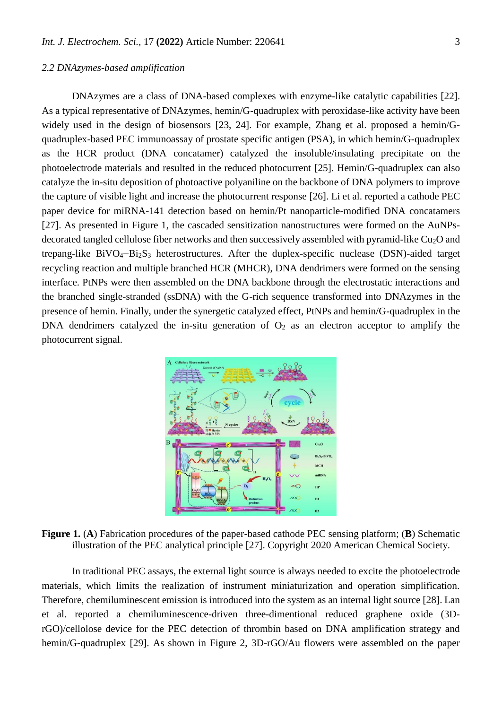# *2.2 DNAzymes-based amplification*

DNAzymes are a class of DNA-based complexes with enzyme-like catalytic capabilities [22]. As a typical representative of DNAzymes, hemin/G-quadruplex with peroxidase-like activity have been widely used in the design of biosensors [23, 24]. For example, Zhang et al. proposed a hemin/Gquadruplex-based PEC immunoassay of prostate specific antigen (PSA), in which hemin/G-quadruplex as the HCR product (DNA concatamer) catalyzed the insoluble/insulating precipitate on the photoelectrode materials and resulted in the reduced photocurrent [25]. Hemin/G-quadruplex can also catalyze the in-situ deposition of photoactive polyaniline on the backbone of DNA polymers to improve the capture of visible light and increase the photocurrent response [26]. Li et al. reported a cathode PEC paper device for miRNA-141 detection based on hemin/Pt nanoparticle-modified DNA concatamers [27]. As presented in Figure 1, the cascaded sensitization nanostructures were formed on the AuNPsdecorated tangled cellulose fiber networks and then successively assembled with pyramid-like Cu<sub>2</sub>O and trepang-like BiVO<sub>4</sub>–Bi<sub>2</sub>S<sub>3</sub> heterostructures. After the duplex-specific nuclease (DSN)-aided target recycling reaction and multiple branched HCR (MHCR), DNA dendrimers were formed on the sensing interface. PtNPs were then assembled on the DNA backbone through the electrostatic interactions and the branched single-stranded (ssDNA) with the G-rich sequence transformed into DNAzymes in the presence of hemin. Finally, under the synergetic catalyzed effect, PtNPs and hemin/G-quadruplex in the DNA dendrimers catalyzed the in-situ generation of  $O<sub>2</sub>$  as an electron acceptor to amplify the photocurrent signal.



**Figure 1.** (**A**) Fabrication procedures of the paper-based cathode PEC sensing platform; (**B**) Schematic illustration of the PEC analytical principle [27]. Copyright 2020 American Chemical Society.

In traditional PEC assays, the external light source is always needed to excite the photoelectrode materials, which limits the realization of instrument miniaturization and operation simplification. Therefore, chemiluminescent emission is introduced into the system as an internal light source [28]. Lan et al. reported a chemiluminescence-driven three-dimentional reduced graphene oxide (3DrGO)/cellolose device for the PEC detection of thrombin based on DNA amplification strategy and hemin/G-quadruplex [29]. As shown in Figure 2, 3D-rGO/Au flowers were assembled on the paper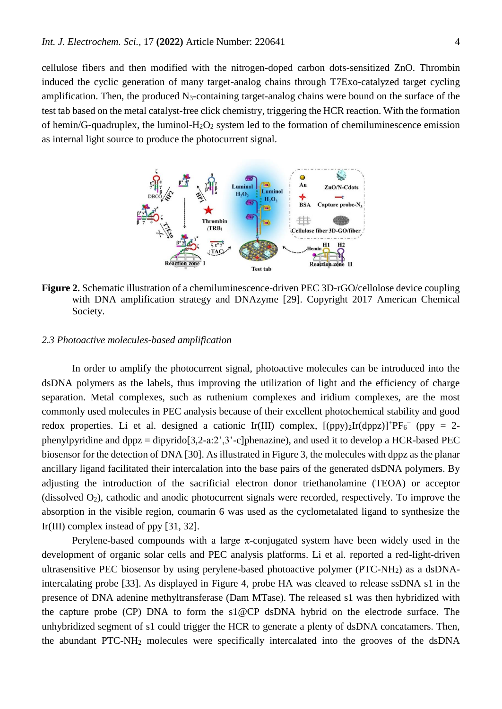cellulose fibers and then modified with the nitrogen-doped carbon dots-sensitized ZnO. Thrombin induced the cyclic generation of many target-analog chains through T7Exo-catalyzed target cycling amplification. Then, the produced  $N_3$ -containing target-analog chains were bound on the surface of the test tab based on the metal catalyst-free click chemistry, triggering the HCR reaction. With the formation of hemin/G-quadruplex, the luminol- $H_2O_2$  system led to the formation of chemiluminescence emission as internal light source to produce the photocurrent signal.



**Figure 2.** Schematic illustration of a chemiluminescence-driven PEC 3D-rGO/cellolose device coupling with DNA amplification strategy and DNAzyme [29]. Copyright 2017 American Chemical Society.

# *2.3 Photoactive molecules-based amplification*

In order to amplify the photocurrent signal, photoactive molecules can be introduced into the dsDNA polymers as the labels, thus improving the utilization of light and the efficiency of charge separation. Metal complexes, such as ruthenium complexes and iridium complexes, are the most commonly used molecules in PEC analysis because of their excellent photochemical stability and good redox properties. Li et al. designed a cationic Ir(III) complex,  $[(ppy)_2Ir(dppz)]^+PF_6^-$  (ppy = 2phenylpyridine and dppz = dipyrido[3,2-a:2',3'-c]phenazine), and used it to develop a HCR-based PEC biosensor for the detection of DNA [30]. As illustrated in Figure 3, the molecules with dppz as the planar ancillary ligand facilitated their intercalation into the base pairs of the generated dsDNA polymers. By adjusting the introduction of the sacrificial electron donor triethanolamine (TEOA) or acceptor (dissolved  $O_2$ ), cathodic and anodic photocurrent signals were recorded, respectively. To improve the absorption in the visible region, coumarin 6 was used as the cyclometalated ligand to synthesize the Ir(III) complex instead of ppy [31, 32].

Perylene-based compounds with a large  $\pi$ -conjugated system have been widely used in the development of organic solar cells and PEC analysis platforms. Li et al. reported a red-light-driven ultrasensitive PEC biosensor by using perylene-based photoactive polymer (PTC-NH2) as a dsDNAintercalating probe [33]. As displayed in Figure 4, probe HA was cleaved to release ssDNA s1 in the presence of DNA adenine methyltransferase (Dam MTase). The released s1 was then hybridized with the capture probe (CP) DNA to form the s1@CP dsDNA hybrid on the electrode surface. The unhybridized segment of s1 could trigger the HCR to generate a plenty of dsDNA concatamers. Then, the abundant PTC-NH<sup>2</sup> molecules were specifically intercalated into the grooves of the dsDNA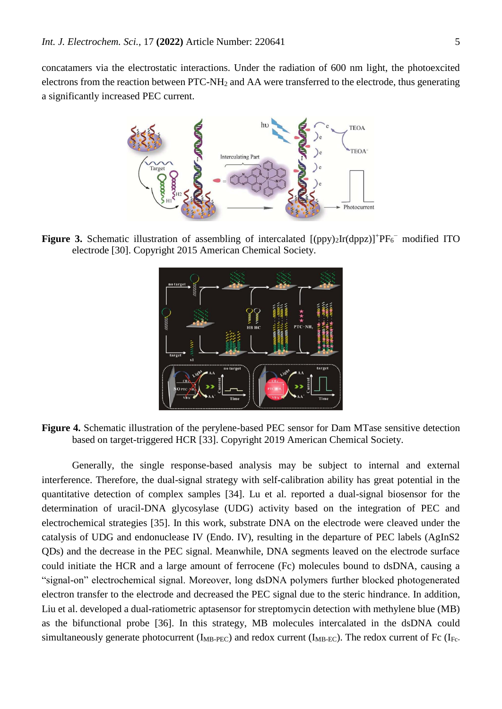concatamers via the electrostatic interactions. Under the radiation of 600 nm light, the photoexcited electrons from the reaction between PTC-NH<sup>2</sup> and AA were transferred to the electrode, thus generating a significantly increased PEC current.



**Figure 3.** Schematic illustration of assembling of intercalated  $[(ppy)_2Ir(dppz)]$ <sup>+</sup> $PF_6^-$  modified ITO electrode [30]. Copyright 2015 American Chemical Society.



**Figure 4.** Schematic illustration of the perylene-based PEC sensor for Dam MTase sensitive detection based on target-triggered HCR [33]. Copyright 2019 American Chemical Society.

Generally, the single response-based analysis may be subject to internal and external interference. Therefore, the dual-signal strategy with self-calibration ability has great potential in the quantitative detection of complex samples [34]. Lu et al. reported a dual-signal biosensor for the determination of uracil-DNA glycosylase (UDG) activity based on the integration of PEC and electrochemical strategies [35]. In this work, substrate DNA on the electrode were cleaved under the catalysis of UDG and endonuclease IV (Endo. IV), resulting in the departure of PEC labels (AgInS2 QDs) and the decrease in the PEC signal. Meanwhile, DNA segments leaved on the electrode surface could initiate the HCR and a large amount of ferrocene (Fc) molecules bound to dsDNA, causing a "signal-on" electrochemical signal. Moreover, long dsDNA polymers further blocked photogenerated electron transfer to the electrode and decreased the PEC signal due to the steric hindrance. In addition, Liu et al. developed a dual-ratiometric aptasensor for streptomycin detection with methylene blue (MB) as the bifunctional probe [36]. In this strategy, MB molecules intercalated in the dsDNA could simultaneously generate photocurrent ( $I_{MB-PEC}$ ) and redox current ( $I_{MB-EC}$ ). The redox current of Fc ( $I_{Fc}$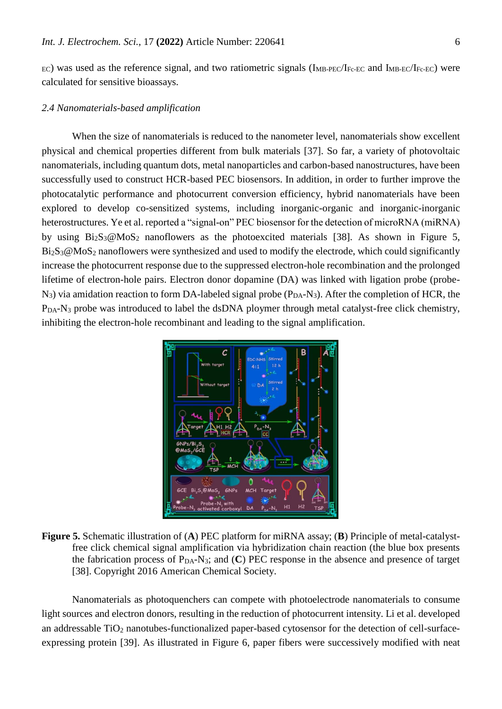EC) was used as the reference signal, and two ratiometric signals (I<sub>MB-PEC</sub>/I<sub>Fc-EC</sub> and I<sub>MB-EC</sub>/I<sub>Fc-EC</sub>) were calculated for sensitive bioassays.

#### *2.4 Nanomaterials-based amplification*

When the size of nanomaterials is reduced to the nanometer level, nanomaterials show excellent physical and chemical properties different from bulk materials [37]. So far, a variety of photovoltaic nanomaterials, including quantum dots, metal nanoparticles and carbon-based nanostructures, have been successfully used to construct HCR-based PEC biosensors. In addition, in order to further improve the photocatalytic performance and photocurrent conversion efficiency, hybrid nanomaterials have been explored to develop co-sensitized systems, including inorganic-organic and inorganic-inorganic heterostructures. Ye et al. reported a "signal-on" PEC biosensor for the detection of microRNA (miRNA) by using  $Bi_2S_3@MoS_2$  nanoflowers as the photoexcited materials [38]. As shown in Figure 5, Bi<sub>2</sub>S<sub>3</sub>@MoS<sub>2</sub> nanoflowers were synthesized and used to modify the electrode, which could significantly increase the photocurrent response due to the suppressed electron-hole recombination and the prolonged lifetime of electron-hole pairs. Electron donor dopamine (DA) was linked with ligation probe (probe- $N_3$ ) via amidation reaction to form DA-labeled signal probe ( $P_{DA}$ -N<sub>3</sub>). After the completion of HCR, the P<sub>DA</sub>-N<sub>3</sub> probe was introduced to label the dsDNA ploymer through metal catalyst-free click chemistry, inhibiting the electron-hole recombinant and leading to the signal amplification.



**Figure 5.** Schematic illustration of (**A**) PEC platform for miRNA assay; (**B**) Principle of metal-catalystfree click chemical signal amplification via hybridization chain reaction (the blue box presents the fabrication process of  $P<sub>DA</sub>-N<sub>3</sub>$ ; and  $(C)$  PEC response in the absence and presence of target [38]. Copyright 2016 American Chemical Society.

Nanomaterials as photoquenchers can compete with photoelectrode nanomaterials to consume light sources and electron donors, resulting in the reduction of photocurrent intensity. Li et al. developed an addressable TiO<sub>2</sub> nanotubes-functionalized paper-based cytosensor for the detection of cell-surfaceexpressing protein [39]. As illustrated in Figure 6, paper fibers were successively modified with neat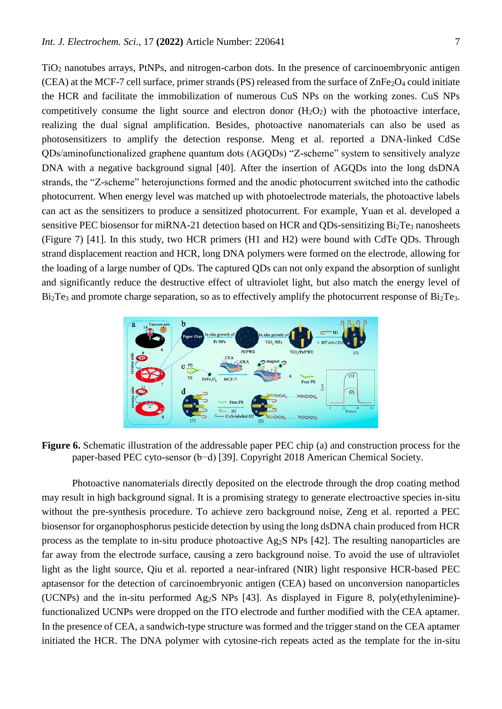TiO<sup>2</sup> nanotubes arrays, PtNPs, and nitrogen-carbon dots. In the presence of carcinoembryonic antigen (CEA) at the MCF-7 cell surface, primer strands (PS) released from the surface of  $\text{ZnFe}_2\text{O}_4$  could initiate the HCR and facilitate the immobilization of numerous CuS NPs on the working zones. CuS NPs competitively consume the light source and electron donor  $(H_2O_2)$  with the photoactive interface, realizing the dual signal amplification. Besides, photoactive nanomaterials can also be used as photosensitizers to amplify the detection response. Meng et al. reported a DNA-linked CdSe QDs/aminofunctionalized graphene quantum dots (AGQDs) "Z-scheme" system to sensitively analyze DNA with a negative background signal [40]. After the insertion of AGQDs into the long dsDNA strands, the "Z-scheme" heterojunctions formed and the anodic photocurrent switched into the cathodic photocurrent. When energy level was matched up with photoelectrode materials, the photoactive labels can act as the sensitizers to produce a sensitized photocurrent. For example, Yuan et al. developed a sensitive PEC biosensor for miRNA-21 detection based on HCR and QDs-sensitizing Bi<sub>2</sub>Te<sub>3</sub> nanosheets (Figure 7) [41]. In this study, two HCR primers (H1 and H2) were bound with CdTe QDs. Through strand displacement reaction and HCR, long DNA polymers were formed on the electrode, allowing for the loading of a large number of QDs. The captured QDs can not only expand the absorption of sunlight and significantly reduce the destructive effect of ultraviolet light, but also match the energy level of  $Bi<sub>2</sub>Te<sub>3</sub>$  and promote charge separation, so as to effectively amplify the photocurrent response of  $Bi<sub>2</sub>Te<sub>3</sub>$ .



**Figure 6.** Schematic illustration of the addressable paper PEC chip (a) and construction process for the paper-based PEC cyto-sensor (b−d) [39]. Copyright 2018 American Chemical Society.

Photoactive nanomaterials directly deposited on the electrode through the drop coating method may result in high background signal. It is a promising strategy to generate electroactive species in-situ without the pre-synthesis procedure. To achieve zero background noise, Zeng et al. reported a PEC biosensor for organophosphorus pesticide detection by using the long dsDNA chain produced from HCR process as the template to in-situ produce photoactive Ag2S NPs [42]. The resulting nanoparticles are far away from the electrode surface, causing a zero background noise. To avoid the use of ultraviolet light as the light source, Qiu et al. reported a near-infrared (NIR) light responsive HCR-based PEC aptasensor for the detection of carcinoembryonic antigen (CEA) based on unconversion nanoparticles (UCNPs) and the in-situ performed Ag2S NPs [43]. As displayed in Figure 8, poly(ethylenimine) functionalized UCNPs were dropped on the ITO electrode and further modified with the CEA aptamer. In the presence of CEA, a sandwich-type structure was formed and the trigger stand on the CEA aptamer initiated the HCR. The DNA polymer with cytosine-rich repeats acted as the template for the in-situ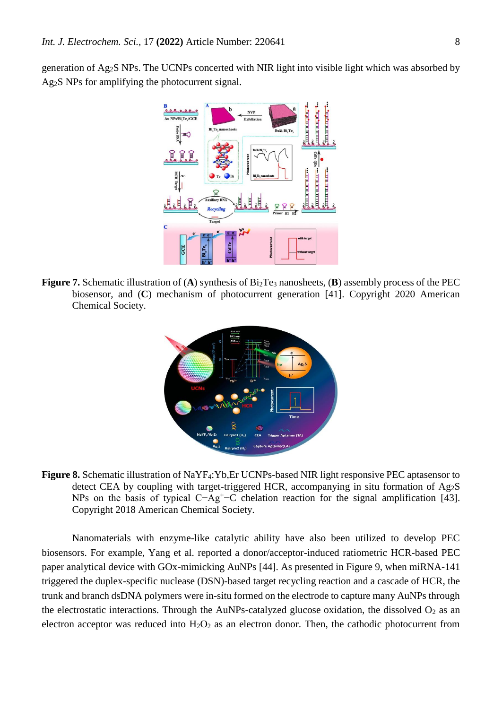generation of Ag2S NPs. The UCNPs concerted with NIR light into visible light which was absorbed by Ag2S NPs for amplifying the photocurrent signal.



**Figure 7.** Schematic illustration of (**A**) synthesis of  $Bi_2Te_3$  nanosheets, (**B**) assembly process of the PEC biosensor, and (**C**) mechanism of photocurrent generation [41]. Copyright 2020 American Chemical Society.



**Figure 8.** Schematic illustration of NaYF4:Yb,Er UCNPs-based NIR light responsive PEC aptasensor to detect CEA by coupling with target-triggered HCR, accompanying in situ formation of Ag2S NPs on the basis of typical C−Ag<sup>+</sup>−C chelation reaction for the signal amplification [43]. Copyright 2018 American Chemical Society.

Nanomaterials with enzyme-like catalytic ability have also been utilized to develop PEC biosensors. For example, Yang et al. reported a donor/acceptor-induced ratiometric HCR-based PEC paper analytical device with GOx-mimicking AuNPs [44]. As presented in Figure 9, when miRNA-141 triggered the duplex-specific nuclease (DSN)-based target recycling reaction and a cascade of HCR, the trunk and branch dsDNA polymers were in-situ formed on the electrode to capture many AuNPs through the electrostatic interactions. Through the AuNPs-catalyzed glucose oxidation, the dissolved  $O_2$  as an electron acceptor was reduced into  $H_2O_2$  as an electron donor. Then, the cathodic photocurrent from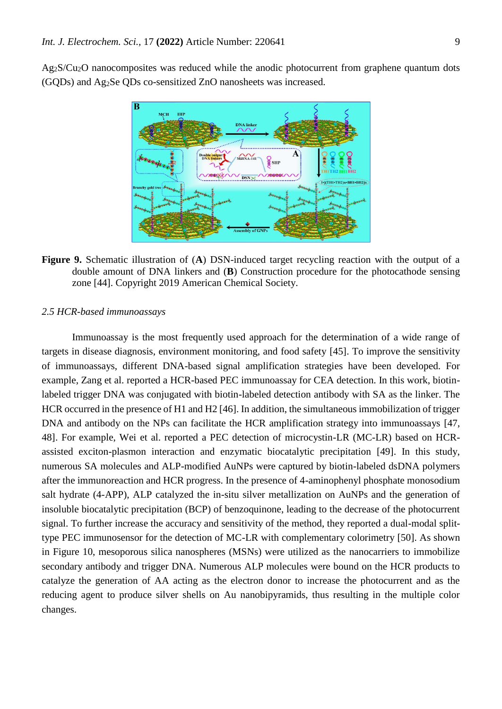Ag2S/Cu2O nanocomposites was reduced while the anodic photocurrent from graphene quantum dots (GQDs) and Ag2Se QDs co-sensitized ZnO nanosheets was increased.



**Figure 9.** Schematic illustration of (**A**) DSN-induced target recycling reaction with the output of a double amount of DNA linkers and (**B**) Construction procedure for the photocathode sensing zone [44]. Copyright 2019 American Chemical Society.

#### *2.5 HCR-based immunoassays*

Immunoassay is the most frequently used approach for the determination of a wide range of targets in disease diagnosis, environment monitoring, and food safety [45]. To improve the sensitivity of immunoassays, different DNA-based signal amplification strategies have been developed. For example, Zang et al. reported a HCR-based PEC immunoassay for CEA detection. In this work, biotinlabeled trigger DNA was conjugated with biotin-labeled detection antibody with SA as the linker. The HCR occurred in the presence of H1 and H2 [46]. In addition, the simultaneous immobilization of trigger DNA and antibody on the NPs can facilitate the HCR amplification strategy into immunoassays [47, 48]. For example, Wei et al. reported a PEC detection of microcystin-LR (MC-LR) based on HCRassisted exciton-plasmon interaction and enzymatic biocatalytic precipitation [49]. In this study, numerous SA molecules and ALP-modified AuNPs were captured by biotin-labeled dsDNA polymers after the immunoreaction and HCR progress. In the presence of 4-aminophenyl phosphate monosodium salt hydrate (4-APP), ALP catalyzed the in-situ silver metallization on AuNPs and the generation of insoluble biocatalytic precipitation (BCP) of benzoquinone, leading to the decrease of the photocurrent signal. To further increase the accuracy and sensitivity of the method, they reported a dual-modal splittype PEC immunosensor for the detection of MC-LR with complementary colorimetry [50]. As shown in Figure 10, mesoporous silica nanospheres (MSNs) were utilized as the nanocarriers to immobilize secondary antibody and trigger DNA. Numerous ALP molecules were bound on the HCR products to catalyze the generation of AA acting as the electron donor to increase the photocurrent and as the reducing agent to produce silver shells on Au nanobipyramids, thus resulting in the multiple color changes.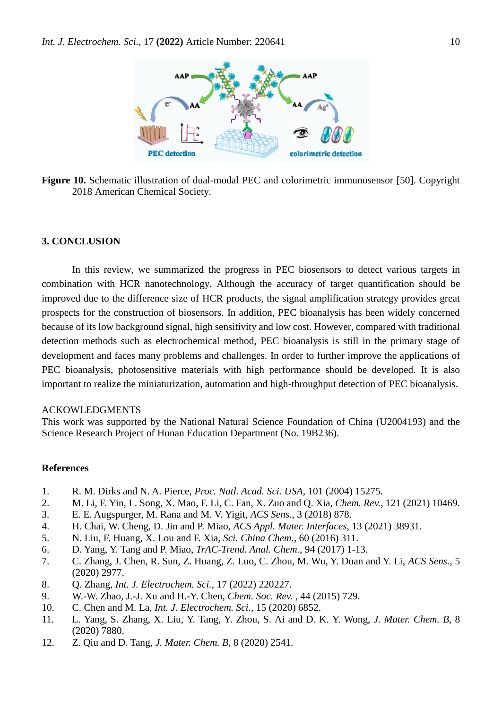

**Figure 10.** Schematic illustration of dual-modal PEC and colorimetric immunosensor [50]. Copyright 2018 American Chemical Society.

# **3. CONCLUSION**

In this review, we summarized the progress in PEC biosensors to detect various targets in combination with HCR nanotechnology. Although the accuracy of target quantification should be improved due to the difference size of HCR products, the signal amplification strategy provides great prospects for the construction of biosensors. In addition, PEC bioanalysis has been widely concerned because of its low background signal, high sensitivity and low cost. However, compared with traditional detection methods such as electrochemical method, PEC bioanalysis is still in the primary stage of development and faces many problems and challenges. In order to further improve the applications of PEC bioanalysis, photosensitive materials with high performance should be developed. It is also important to realize the miniaturization, automation and high-throughput detection of PEC bioanalysis.

# ACKOWLEDGMENTS

This work was supported by the National Natural Science Foundation of China (U2004193) and the Science Research Project of Hunan Education Department (No. 19B236).

# **References**

- 1. R. M. Dirks and N. A. Pierce, *Proc. Natl. Acad. Sci. USA*, 101 (2004) 15275.
- 2. M. Li, F. Yin, L. Song, X. Mao, F. Li, C. Fan, X. Zuo and Q. Xia, *Chem. Rev.*, 121 (2021) 10469.
- 3. E. E. Augspurger, M. Rana and M. V. Yigit, *ACS Sens.*, 3 (2018) 878.
- 4. H. Chai, W. Cheng, D. Jin and P. Miao, *ACS Appl. Mater. Interfaces*, 13 (2021) 38931.
- 5. N. Liu, F. Huang, X. Lou and F. Xia, *Sci. China Chem.*, 60 (2016) 311.
- 6. D. Yang, Y. Tang and P. Miao, *TrAC-Trend. Anal. Chem.*, 94 (2017) 1-13.
- 7. C. Zhang, J. Chen, R. Sun, Z. Huang, Z. Luo, C. Zhou, M. Wu, Y. Duan and Y. Li, *ACS Sens.*, 5 (2020) 2977.
- 8. Q. Zhang, *Int. J. Electrochem. Sci.*, 17 (2022) 220227.
- 9. W.-W. Zhao, J.-J. Xu and H.-Y. Chen, *Chem. Soc. Rev.* , 44 (2015) 729.
- 10. C. Chen and M. La, *Int. J. Electrochem. Sci.*, 15 (2020) 6852.
- 11. L. Yang, S. Zhang, X. Liu, Y. Tang, Y. Zhou, S. Ai and D. K. Y. Wong, *J. Mater. Chem. B*, 8 (2020) 7880.
- 12. Z. Qiu and D. Tang, *J. Mater. Chem. B*, 8 (2020) 2541.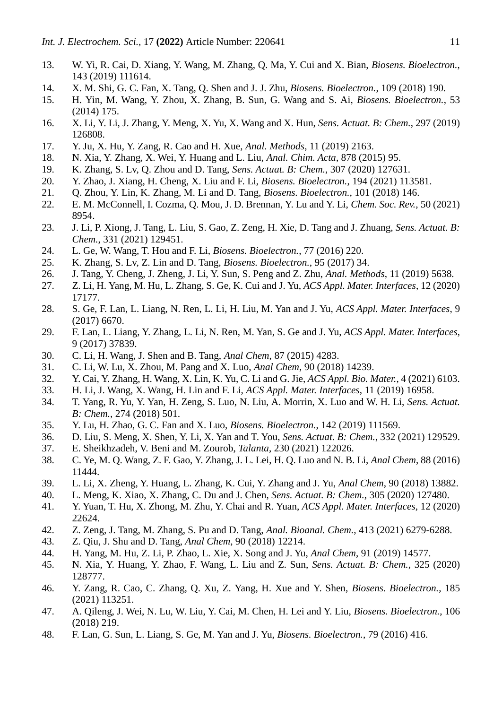- 13. W. Yi, R. Cai, D. Xiang, Y. Wang, M. Zhang, Q. Ma, Y. Cui and X. Bian, *Biosens. Bioelectron.*, 143 (2019) 111614.
- 14. X. M. Shi, G. C. Fan, X. Tang, Q. Shen and J. J. Zhu, *Biosens. Bioelectron.*, 109 (2018) 190.
- 15. H. Yin, M. Wang, Y. Zhou, X. Zhang, B. Sun, G. Wang and S. Ai, *Biosens. Bioelectron.*, 53 (2014) 175.
- 16. X. Li, Y. Li, J. Zhang, Y. Meng, X. Yu, X. Wang and X. Hun, *Sens. Actuat. B: Chem.*, 297 (2019) 126808.
- 17. Y. Ju, X. Hu, Y. Zang, R. Cao and H. Xue, *Anal. Methods*, 11 (2019) 2163.
- 18. N. Xia, Y. Zhang, X. Wei, Y. Huang and L. Liu, *Anal. Chim. Acta*, 878 (2015) 95.
- 19. K. Zhang, S. Lv, Q. Zhou and D. Tang, *Sens. Actuat. B: Chem.*, 307 (2020) 127631.
- 20. Y. Zhao, J. Xiang, H. Cheng, X. Liu and F. Li, *Biosens. Bioelectron.*, 194 (2021) 113581.
- 21. Q. Zhou, Y. Lin, K. Zhang, M. Li and D. Tang, *Biosens. Bioelectron.*, 101 (2018) 146.
- 22. E. M. McConnell, I. Cozma, Q. Mou, J. D. Brennan, Y. Lu and Y. Li, *Chem. Soc. Rev.*, 50 (2021) 8954.
- 23. J. Li, P. Xiong, J. Tang, L. Liu, S. Gao, Z. Zeng, H. Xie, D. Tang and J. Zhuang, *Sens. Actuat. B: Chem.*, 331 (2021) 129451.
- 24. L. Ge, W. Wang, T. Hou and F. Li, *Biosens. Bioelectron.*, 77 (2016) 220.
- 25. K. Zhang, S. Lv, Z. Lin and D. Tang, *Biosens. Bioelectron.*, 95 (2017) 34.
- 26. J. Tang, Y. Cheng, J. Zheng, J. Li, Y. Sun, S. Peng and Z. Zhu, *Anal. Methods*, 11 (2019) 5638.
- 27. Z. Li, H. Yang, M. Hu, L. Zhang, S. Ge, K. Cui and J. Yu, *ACS Appl. Mater. Interfaces*, 12 (2020) 17177.
- 28. S. Ge, F. Lan, L. Liang, N. Ren, L. Li, H. Liu, M. Yan and J. Yu, *ACS Appl. Mater. Interfaces*, 9 (2017) 6670.
- 29. F. Lan, L. Liang, Y. Zhang, L. Li, N. Ren, M. Yan, S. Ge and J. Yu, *ACS Appl. Mater. Interfaces*, 9 (2017) 37839.
- 30. C. Li, H. Wang, J. Shen and B. Tang, *Anal Chem*, 87 (2015) 4283.
- 31. C. Li, W. Lu, X. Zhou, M. Pang and X. Luo, *Anal Chem*, 90 (2018) 14239.
- 32. Y. Cai, Y. Zhang, H. Wang, X. Lin, K. Yu, C. Li and G. Jie, *ACS Appl. Bio. Mater.*, 4 (2021) 6103.
- 33. H. Li, J. Wang, X. Wang, H. Lin and F. Li, *ACS Appl. Mater. Interfaces*, 11 (2019) 16958.
- 34. T. Yang, R. Yu, Y. Yan, H. Zeng, S. Luo, N. Liu, A. Morrin, X. Luo and W. H. Li, *Sens. Actuat. B: Chem.*, 274 (2018) 501.
- 35. Y. Lu, H. Zhao, G. C. Fan and X. Luo, *Biosens. Bioelectron.*, 142 (2019) 111569.
- 36. D. Liu, S. Meng, X. Shen, Y. Li, X. Yan and T. You, *Sens. Actuat. B: Chem.*, 332 (2021) 129529.
- 37. E. Sheikhzadeh, V. Beni and M. Zourob, *Talanta*, 230 (2021) 122026.
- 38. C. Ye, M. Q. Wang, Z. F. Gao, Y. Zhang, J. L. Lei, H. Q. Luo and N. B. Li, *Anal Chem*, 88 (2016) 11444.
- 39. L. Li, X. Zheng, Y. Huang, L. Zhang, K. Cui, Y. Zhang and J. Yu, *Anal Chem*, 90 (2018) 13882.
- 40. L. Meng, K. Xiao, X. Zhang, C. Du and J. Chen, *Sens. Actuat. B: Chem.*, 305 (2020) 127480.
- 41. Y. Yuan, T. Hu, X. Zhong, M. Zhu, Y. Chai and R. Yuan, *ACS Appl. Mater. Interfaces*, 12 (2020) 22624.
- 42. Z. Zeng, J. Tang, M. Zhang, S. Pu and D. Tang, *Anal. Bioanal. Chem.*, 413 (2021) 6279-6288.
- 43. Z. Qiu, J. Shu and D. Tang, *Anal Chem*, 90 (2018) 12214.
- 44. H. Yang, M. Hu, Z. Li, P. Zhao, L. Xie, X. Song and J. Yu, *Anal Chem*, 91 (2019) 14577.
- 45. N. Xia, Y. Huang, Y. Zhao, F. Wang, L. Liu and Z. Sun, *Sens. Actuat. B: Chem.*, 325 (2020) 128777.
- 46. Y. Zang, R. Cao, C. Zhang, Q. Xu, Z. Yang, H. Xue and Y. Shen, *Biosens. Bioelectron.*, 185 (2021) 113251.
- 47. A. Qileng, J. Wei, N. Lu, W. Liu, Y. Cai, M. Chen, H. Lei and Y. Liu, *Biosens. Bioelectron.*, 106 (2018) 219.
- 48. F. Lan, G. Sun, L. Liang, S. Ge, M. Yan and J. Yu, *Biosens. Bioelectron.*, 79 (2016) 416.